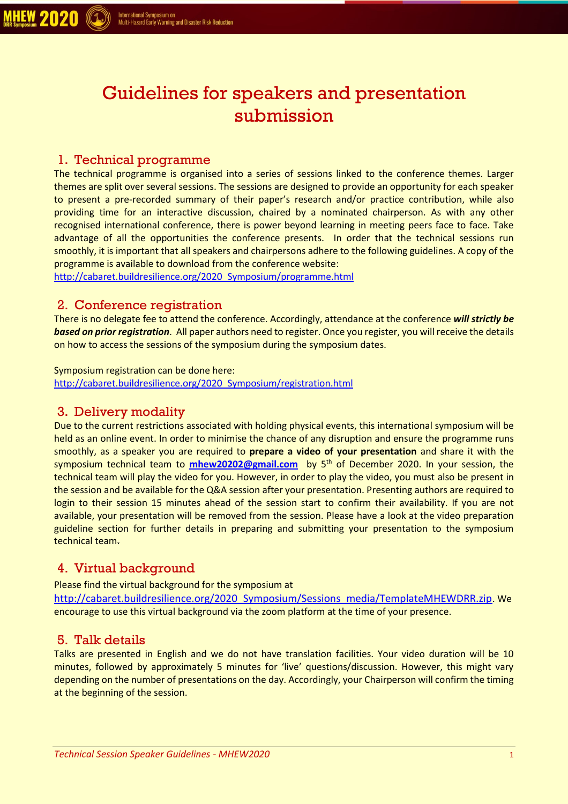# Guidelines for speakers and presentation submission

## 1. Technical programme

The technical programme is organised into a series of sessions linked to the conference themes. Larger themes are split over several sessions. The sessions are designed to provide an opportunity for each speaker to present a pre-recorded summary of their paper's research and/or practice contribution, while also providing time for an interactive discussion, chaired by a nominated chairperson. As with any other recognised international conference, there is power beyond learning in meeting peers face to face. Take advantage of all the opportunities the conference presents. In order that the technical sessions run smoothly, it is important that all speakers and chairpersons adhere to the following guidelines. A copy of the programme is available to download from the conference website:

[http://cabaret.buildresilience.org/2020\\_Symposium/programme.html](http://cabaret.buildresilience.org/2020_Symposium/programme.html)

## 2. Conference registration

There is no delegate fee to attend the conference. Accordingly, attendance at the conference *will strictly be based on prior registration*. All paper authors need to register. Once you register, you will receive the details on how to access the sessions of the symposium during the symposium dates.

#### Symposium registration can be done here:

[http://cabaret.buildresilience.org/2020\\_Symposium/registration.html](http://cabaret.buildresilience.org/2020_Symposium/registration.html)

## 3. Delivery modality

Due to the current restrictions associated with holding physical events, this international symposium will be held as an online event. In order to minimise the chance of any disruption and ensure the programme runs smoothly, as a speaker you are required to **prepare a video of your presentation** and share it with the symposium technical team to **[mhew20202@gmail.com](mailto:mhew20202@gmail.com)** by 5<sup>th</sup> of December 2020. In your session, the technical team will play the video for you. However, in order to play the video, you must also be present in the session and be available for the Q&A session after your presentation. Presenting authors are required to login to their session 15 minutes ahead of the session start to confirm their availability. If you are not available, your presentation will be removed from the session. Please have a look at the video preparation guideline section for further details in preparing and submitting your presentation to the symposium technical team.

# 4. Virtual background

Please find the virtual background for the symposium at [http://cabaret.buildresilience.org/2020\\_Symposium/Sessions\\_media/TemplateMHEWDRR.zip](http://cabaret.buildresilience.org/2020_Symposium/Sessions_media/TemplateMHEWDRR.zip). We

encourage to use this virtual background via the zoom platform at the time of your presence.

## 5. Talk details

Talks are presented in English and we do not have translation facilities. Your video duration will be 10 minutes, followed by approximately 5 minutes for 'live' questions/discussion. However, this might vary depending on the number of presentations on the day. Accordingly, your Chairperson will confirm the timing at the beginning of the session.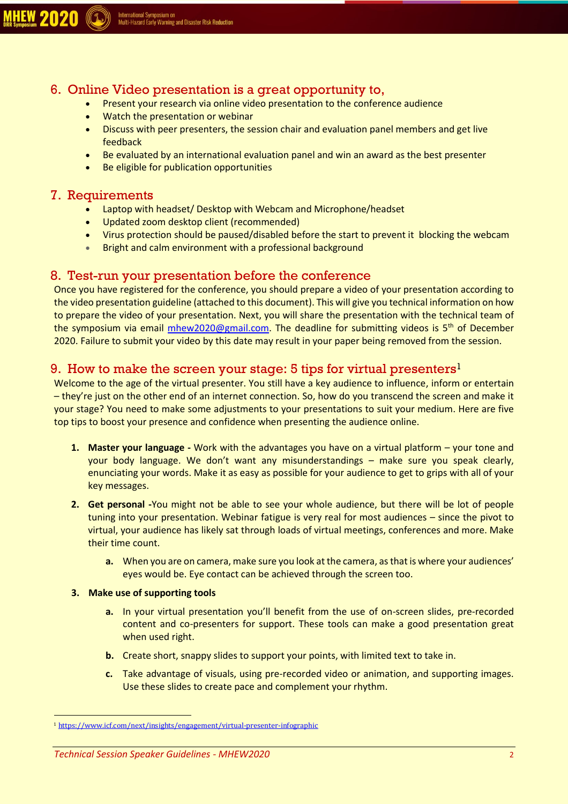

## 6. Online Video presentation is a great opportunity to,

- Present your research via online video presentation to the conference audience
- Watch the presentation or webinar
- Discuss with peer presenters, the session chair and evaluation panel members and get live feedback
- Be evaluated by an international evaluation panel and win an award as the best presenter
- Be eligible for publication opportunities

#### 7. Requirements

- Laptop with headset/ Desktop with Webcam and Microphone/headset
- Updated zoom desktop client (recommended)
- Virus protection should be paused/disabled before the start to prevent it blocking the webcam
- Bright and calm environment with a professional background

#### 8. Test-run your presentation before the conference

Once you have registered for the conference, you should prepare a video of your presentation according to the video presentation guideline (attached to this document). This will give you technical information on how to prepare the video of your presentation. Next, you will share the presentation with the technical team of the symposium via email [mhew2020@gmail.com.](mailto:mhew2020@gmail.com) The deadline for submitting videos is 5<sup>th</sup> of December 2020. Failure to submit your video by this date may result in your paper being removed from the session.

## 9. How to make the screen your stage: 5 tips for virtual presenters<sup>1</sup>

Welcome to the age of the virtual presenter. You still have a key audience to influence, inform or entertain – they're just on the other end of an internet connection. So, how do you transcend the screen and make it your stage? You need to make some adjustments to your presentations to suit your medium. Here are five top tips to boost your presence and confidence when presenting the audience online.

- **1. Master your language -** Work with the advantages you have on a virtual platform your tone and your body language. We don't want any misunderstandings – make sure you speak clearly, enunciating your words. Make it as easy as possible for your audience to get to grips with all of your key messages.
- **2. Get personal -**You might not be able to see your whole audience, but there will be lot of people tuning into your presentation. Webinar fatigue is very real for most audiences – since the pivot to virtual, your audience has likely sat through loads of virtual meetings, conferences and more. Make their time count.
	- **a.** When you are on camera, make sure you look at the camera, as that is where your audiences' eyes would be. Eye contact can be achieved through the screen too.

#### **3. Make use of supporting tools**

- **a.** In your virtual presentation you'll benefit from the use of on-screen slides, pre-recorded content and co-presenters for support. These tools can make a good presentation great when used right.
- **b.** Create short, snappy slides to support your points, with limited text to take in.
- **c.** Take advantage of visuals, using pre-recorded video or animation, and supporting images. Use these slides to create pace and complement your rhythm.

<sup>&</sup>lt;sup>1</sup><https://www.icf.com/next/insights/engagement/virtual-presenter-infographic>

*Technical Session Speaker Guidelines - MHEW2020* 2